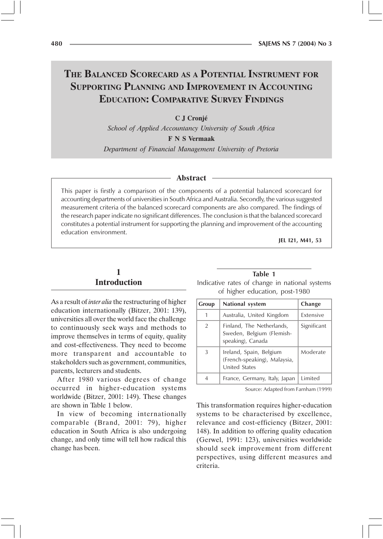# THE BALANCED SCORECARD AS A POTENTIAL INSTRUMENT FOR SUPPORTING PLANNING AND IMPROVEMENT IN ACCOUNTING **EDUCATION: COMPARATIVE SURVEY FINDINGS**

C J Cronjé

School of Applied Accountancy University of South Africa

**F N S Vermaak** 

Department of Financial Management University of Pretoria

#### **Abstract**

This paper is firstly a comparison of the components of a potential balanced scorecard for accounting departments of universities in South Africa and Australia. Secondly, the various suggested measurement criteria of the balanced scorecard components are also compared. The findings of the research paper indicate no significant differences. The conclusion is that the balanced scorecard constitutes a potential instrument for supporting the planning and improvement of the accounting education environment.

JEL 121, M41, 53

## 1 **Introduction**

As a result of *inter alia* the restructuring of higher education internationally (Bitzer, 2001: 139), universities all over the world face the challenge to continuously seek ways and methods to improve themselves in terms of equity, quality and cost-effectiveness. They need to become more transparent and accountable to stakeholders such as government, communities, parents, lecturers and students.

After 1980 various degrees of change occurred in higher-education systems worldwide (Bitzer, 2001: 149). These changes are shown in Table 1 below.

In view of becoming internationally comparable (Brand, 2001: 79), higher education in South Africa is also undergoing change, and only time will tell how radical this change has been.

Table 1 Indicative rates of change in national systems of higher education, post-1980

| Group | National system                                                                 | Change      |
|-------|---------------------------------------------------------------------------------|-------------|
| 1     | Australia, United Kingdom                                                       | Extensive   |
| 2     | Finland, The Netherlands,<br>Sweden, Belgium (Flemish-<br>speaking), Canada     | Significant |
| 3     | Ireland, Spain, Belgium<br>(French-speaking), Malaysia,<br><b>United States</b> | Moderate    |
| 4     | France, Germany, Italy, Japan                                                   | Limited     |

Source: Adapted from Farnham (1999)

This transformation requires higher-education systems to be characterised by excellence, relevance and cost-efficiency (Bitzer, 2001: 148). In addition to offering quality education (Gerwel, 1991: 123), universities worldwide should seek improvement from different perspectives, using different measures and criteria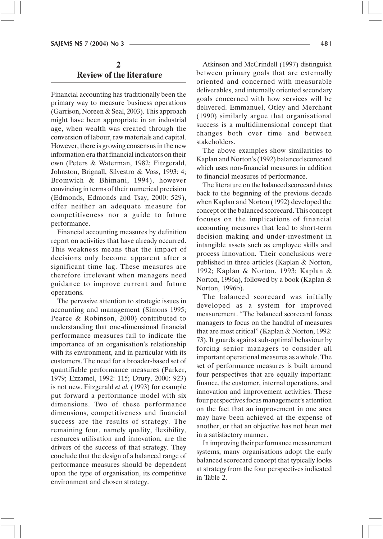## $\mathbf{2}$ **Review of the literature**

Financial accounting has traditionally been the primary way to measure business operations (Garrison, Noreen & Seal, 2003). This approach might have been appropriate in an industrial age, when wealth was created through the conversion of labour, raw materials and capital. However, there is growing consensus in the new information era that financial indicators on their own (Peters & Waterman, 1982; Fitzgerald, Johnston, Brignall, Silvestro & Voss, 1993: 4; Bromwich & Bhimani, 1994), however convincing in terms of their numerical precision (Edmonds, Edmonds and Tsay, 2000: 529), offer neither an adequate measure for competitiveness nor a guide to future performance.

Financial accounting measures by definition report on activities that have already occurred. This weakness means that the impact of decisions only become apparent after a significant time lag. These measures are therefore irrelevant when managers need guidance to improve current and future operations.

The pervasive attention to strategic issues in accounting and management (Simons 1995; Pearce & Robinson, 2000) contributed to understanding that one-dimensional financial performance measures fail to indicate the importance of an organisation's relationship with its environment, and in particular with its customers. The need for a broader-based set of quantifiable performance measures (Parker, 1979; Ezzamel, 1992: 115; Drury, 2000: 923) is not new. Fitzgerald et al. (1993) for example put forward a performance model with six dimensions. Two of these performance dimensions, competitiveness and financial success are the results of strategy. The remaining four, namely quality, flexibility, resources utilisation and innovation, are the drivers of the success of that strategy. They conclude that the design of a balanced range of performance measures should be dependent upon the type of organisation, its competitive environment and chosen strategy.

Atkinson and McCrindell (1997) distinguish between primary goals that are externally oriented and concerned with measurable deliverables, and internally oriented secondary goals concerned with how services will be delivered. Emmanuel, Otley and Merchant (1990) similarly argue that organisational success is a multidimensional concept that changes both over time and between stakeholders.

The above examples show similarities to Kaplan and Norton's (1992) balanced scorecard which uses non-financial measures in addition to financial measures of performance.

The literature on the balanced scorecard dates back to the beginning of the previous decade when Kaplan and Norton (1992) developed the concept of the balanced scorecard. This concept focuses on the implications of financial accounting measures that lead to short-term decision making and under-investment in intangible assets such as employee skills and process innovation. Their conclusions were published in three articles (Kaplan & Norton, 1992; Kaplan & Norton, 1993; Kaplan & Norton, 1996a), followed by a book (Kaplan & Norton, 1996b).

The balanced scorecard was initially developed as a system for improved measurement. "The balanced scorecard forces managers to focus on the handful of measures that are most critical" (Kaplan & Norton, 1992: 73). It guards against sub-optimal behaviour by forcing senior managers to consider all important operational measures as a whole. The set of performance measures is built around four perspectives that are equally important: finance, the customer, internal operations, and innovation and improvement activities. These four perspectives focus management's attention on the fact that an improvement in one area may have been achieved at the expense of another, or that an objective has not been met in a satisfactory manner.

In improving their performance measurement systems, many organisations adopt the early balanced scorecard concept that typically looks at strategy from the four perspectives indicated in Table 2.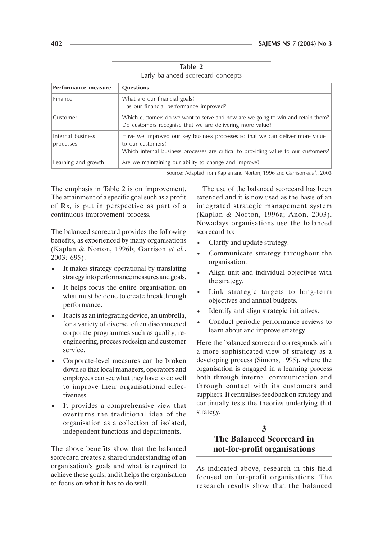| Performance measure            | <b>Questions</b>                                                                                                                                                                          |
|--------------------------------|-------------------------------------------------------------------------------------------------------------------------------------------------------------------------------------------|
| Finance                        | What are our financial goals?<br>Has our financial performance improved?                                                                                                                  |
| Customer                       | Which customers do we want to serve and how are we going to win and retain them?<br>Do customers recognise that we are delivering more value?                                             |
| Internal business<br>processes | Have we improved our key business processes so that we can deliver more value<br>to our customers?<br>Which internal business processes are critical to providing value to our customers? |
| Learning and growth            | Are we maintaining our ability to change and improve?                                                                                                                                     |

Table 2 Early balanced scorecard concepts

Source: Adapted from Kaplan and Norton, 1996 and Garrison et al., 2003

The emphasis in Table 2 is on improvement. The attainment of a specific goal such as a profit of Rx, is put in perspective as part of a continuous improvement process.

The balanced scorecard provides the following benefits, as experienced by many organisations (Kaplan & Norton, 1996b; Garrison et al.,  $2003:695$ :

- It makes strategy operational by translating strategy into performance measures and goals.
- It helps focus the entire organisation on  $\bullet$ what must be done to create breakthrough performance.
- It acts as an integrating device, an umbrella, for a variety of diverse, often disconnected corporate programmes such as quality, reengineering, process redesign and customer service.
- Corporate-level measures can be broken down so that local managers, operators and employees can see what they have to do well to improve their organisational effectiveness.
- It provides a comprehensive view that overturns the traditional idea of the organisation as a collection of isolated, independent functions and departments.

The above benefits show that the balanced scorecard creates a shared understanding of an organisation's goals and what is required to achieve these goals, and it helps the organisation to focus on what it has to do well

The use of the balanced scorecard has been extended and it is now used as the basis of an integrated strategic management system (Kaplan & Norton, 1996a; Anon, 2003). Nowadays organisations use the balanced scorecard to:

- Clarify and update strategy.
- Communicate strategy throughout the organisation.
- Align unit and individual objectives with the strategy.
- Link strategic targets to long-term objectives and annual budgets.
- Identify and align strategic initiatives.
- Conduct periodic performance reviews to learn about and improve strategy.

Here the balanced scorecard corresponds with a more sophisticated view of strategy as a developing process (Simons, 1995), where the organisation is engaged in a learning process both through internal communication and through contact with its customers and suppliers. It centralises feedback on strategy and continually tests the theories underlying that strategy.

## 3 **The Balanced Scorecard in** not-for-profit organisations

As indicated above, research in this field focused on for-profit organisations. The research results show that the balanced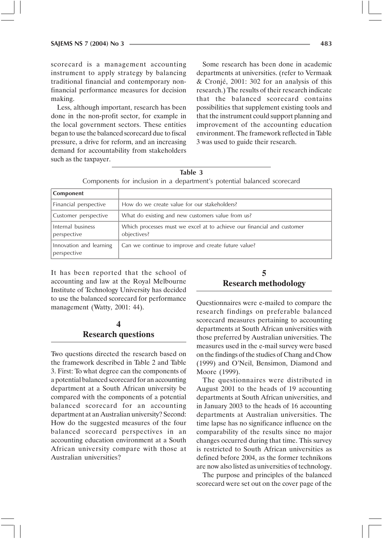scorecard is a management accounting instrument to apply strategy by balancing traditional financial and contemporary nonfinancial performance measures for decision making.

Less, although important, research has been done in the non-profit sector, for example in the local government sectors. These entities began to use the balanced scorecard due to fiscal pressure, a drive for reform, and an increasing demand for accountability from stakeholders such as the taxpayer.

Some research has been done in academic departments at universities. (refer to Vermaak & Cronjé, 2001: 302 for an analysis of this research.) The results of their research indicate that the balanced scorecard contains possibilities that supplement existing tools and that the instrument could support planning and improvement of the accounting education environment. The framework reflected in Table 3 was used to guide their research.

Table 3 Components for inclusion in a department's potential balanced scorecard

| Component                              |                                                                                       |
|----------------------------------------|---------------------------------------------------------------------------------------|
| Financial perspective                  | How do we create value for our stakeholders?                                          |
| Customer perspective                   | What do existing and new customers value from us?                                     |
| Internal business<br>perspective       | Which processes must we excel at to achieve our financial and customer<br>objectives? |
| Innovation and learning<br>perspective | Can we continue to improve and create future value?                                   |

It has been reported that the school of accounting and law at the Royal Melbourne Institute of Technology University has decided to use the balanced scorecard for performance management (Watty, 2001: 44).

#### 4 **Research questions**

Two questions directed the research based on the framework described in Table 2 and Table 3. First: To what degree can the components of a potential balanced scorecard for an accounting department at a South African university be compared with the components of a potential balanced scorecard for an accounting department at an Australian university? Second: How do the suggested measures of the four balanced scorecard perspectives in an accounting education environment at a South African university compare with those at Australian universities?

#### 5 **Research methodology**

Questionnaires were e-mailed to compare the research findings on preferable balanced scorecard measures pertaining to accounting departments at South African universities with those preferred by Australian universities. The measures used in the e-mail survey were based on the findings of the studies of Chang and Chow (1999) and O'Neil, Bensimon, Diamond and Moore (1999).

The questionnaires were distributed in August 2001 to the heads of 19 accounting departments at South African universities, and in January 2003 to the heads of 16 accounting departments at Australian universities. The time lapse has no significance influence on the comparability of the results since no major changes occurred during that time. This survey is restricted to South African universities as defined before 2004, as the former technikons are now also listed as universities of technology.

The purpose and principles of the balanced scorecard were set out on the cover page of the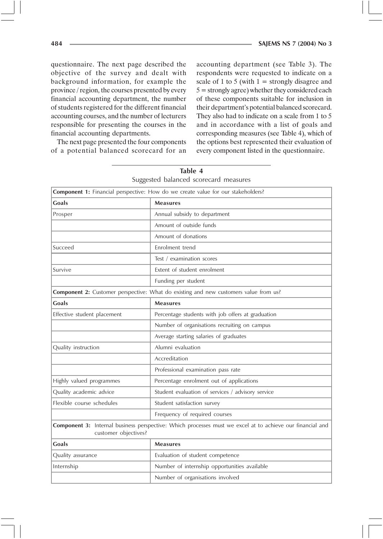questionnaire. The next page described the objective of the survey and dealt with background information, for example the province / region, the courses presented by every financial accounting department, the number of students registered for the different financial accounting courses, and the number of lecturers responsible for presenting the courses in the financial accounting departments.

The next page presented the four components of a potential balanced scorecard for an accounting department (see Table 3). The respondents were requested to indicate on a scale of 1 to 5 (with  $1 =$  strongly disagree and  $5 =$  strongly agree) whether they considered each of these components suitable for inclusion in their department's potential balanced scorecard. They also had to indicate on a scale from 1 to 5 and in accordance with a list of goals and corresponding measures (see Table 4), which of the options best represented their evaluation of every component listed in the questionnaire.

|                                                                                                                                   | Suggested balanced scorecard measures                                                |  |  |  |
|-----------------------------------------------------------------------------------------------------------------------------------|--------------------------------------------------------------------------------------|--|--|--|
|                                                                                                                                   | Component 1: Financial perspective: How do we create value for our stakeholders?     |  |  |  |
| <b>Goals</b>                                                                                                                      | <b>Measures</b>                                                                      |  |  |  |
| Prosper                                                                                                                           | Annual subsidy to department                                                         |  |  |  |
|                                                                                                                                   | Amount of outside funds                                                              |  |  |  |
|                                                                                                                                   | Amount of donations                                                                  |  |  |  |
| Succeed                                                                                                                           | Enrolment trend                                                                      |  |  |  |
|                                                                                                                                   | Test / examination scores                                                            |  |  |  |
| Survive                                                                                                                           | Extent of student enrolment                                                          |  |  |  |
|                                                                                                                                   | Funding per student                                                                  |  |  |  |
|                                                                                                                                   | Component 2: Customer perspective: What do existing and new customers value from us? |  |  |  |
| Goals<br><b>Measures</b>                                                                                                          |                                                                                      |  |  |  |
| Effective student placement                                                                                                       | Percentage students with job offers at graduation                                    |  |  |  |
|                                                                                                                                   | Number of organisations recruiting on campus                                         |  |  |  |
|                                                                                                                                   | Average starting salaries of graduates                                               |  |  |  |
| Quality instruction                                                                                                               | Alumni evaluation                                                                    |  |  |  |
|                                                                                                                                   | Accreditation                                                                        |  |  |  |
|                                                                                                                                   | Professional examination pass rate                                                   |  |  |  |
| Highly valued programmes                                                                                                          | Percentage enrolment out of applications                                             |  |  |  |
| Quality academic advice                                                                                                           | Student evaluation of services / advisory service                                    |  |  |  |
| Flexible course schedules                                                                                                         | Student satisfaction survey                                                          |  |  |  |
|                                                                                                                                   | Frequency of required courses                                                        |  |  |  |
| Component 3: Internal business perspective: Which processes must we excel at to achieve our financial and<br>customer objectives? |                                                                                      |  |  |  |
| <b>Goals</b>                                                                                                                      | <b>Measures</b>                                                                      |  |  |  |
| Quality assurance                                                                                                                 | Evaluation of student competence                                                     |  |  |  |
| Internship                                                                                                                        | Number of internship opportunities available                                         |  |  |  |
| Number of organisations involved                                                                                                  |                                                                                      |  |  |  |

Table 4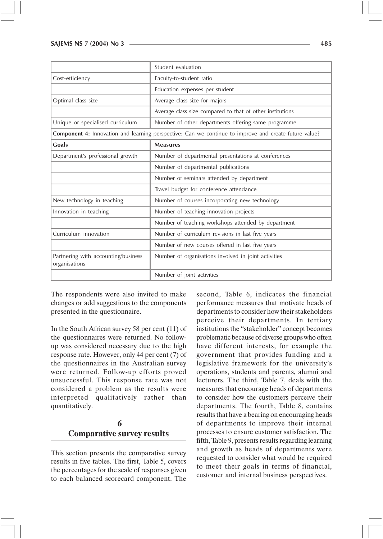|                                                      | Student evaluation                                                                                    |
|------------------------------------------------------|-------------------------------------------------------------------------------------------------------|
| Cost-efficiency                                      | Faculty-to-student ratio                                                                              |
|                                                      | Education expenses per student                                                                        |
| Optimal class size                                   | Average class size for majors                                                                         |
|                                                      | Average class size compared to that of other institutions                                             |
| Unique or specialised curriculum                     | Number of other departments offering same programme                                                   |
|                                                      | Component 4: Innovation and learning perspective: Can we continue to improve and create future value? |
| Goals                                                | <b>Measures</b>                                                                                       |
| Department's professional growth                     | Number of departmental presentations at conferences                                                   |
|                                                      | Number of departmental publications                                                                   |
|                                                      | Number of seminars attended by department                                                             |
|                                                      | Travel budget for conference attendance                                                               |
| New technology in teaching                           | Number of courses incorporating new technology                                                        |
| Innovation in teaching                               | Number of teaching innovation projects                                                                |
|                                                      | Number of teaching workshops attended by department                                                   |
| Curriculum innovation                                | Number of curriculum revisions in last five years                                                     |
|                                                      | Number of new courses offered in last five years                                                      |
| Partnering with accounting/business<br>organisations | Number of organisations involved in joint activities                                                  |
|                                                      | Number of joint activities                                                                            |

The respondents were also invited to make changes or add suggestions to the components presented in the questionnaire.

In the South African survey 58 per cent  $(11)$  of the questionnaires were returned. No followup was considered necessary due to the high response rate. However, only 44 per cent (7) of the questionnaires in the Australian survey were returned. Follow-up efforts proved unsuccessful. This response rate was not considered a problem as the results were interpreted qualitatively rather than quantitatively.

## 6 **Comparative survey results**

This section presents the comparative survey results in five tables. The first, Table 5, covers the percentages for the scale of responses given to each balanced scorecard component. The second, Table 6, indicates the financial performance measures that motivate heads of departments to consider how their stakeholders perceive their departments. In tertiary institutions the "stakeholder" concept becomes problematic because of diverse groups who often have different interests, for example the government that provides funding and a legislative framework for the university's operations, students and parents, alumni and lecturers. The third, Table 7, deals with the measures that encourage heads of departments to consider how the customers perceive their departments. The fourth, Table 8, contains results that have a bearing on encouraging heads of departments to improve their internal processes to ensure customer satisfaction. The fifth, Table 9, presents results regarding learning and growth as heads of departments were requested to consider what would be required to meet their goals in terms of financial, customer and internal business perspectives.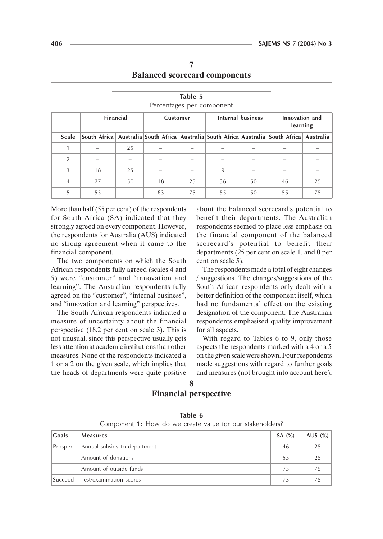| Percentages per component |                                                   |    |    |    |    |                            |                                                                                             |    |
|---------------------------|---------------------------------------------------|----|----|----|----|----------------------------|---------------------------------------------------------------------------------------------|----|
|                           | <b>Financial</b><br>Internal business<br>Customer |    |    |    |    | Innovation and<br>learning |                                                                                             |    |
| <b>Scale</b>              |                                                   |    |    |    |    |                            | South Africa Australia South Africa Australia South Africa Australia South Africa Australia |    |
| 1                         |                                                   | 25 |    |    |    |                            |                                                                                             |    |
| 2                         |                                                   |    |    |    |    |                            |                                                                                             |    |
| 3                         | 18                                                | 25 |    |    | 9  |                            |                                                                                             |    |
| 4                         | 27                                                | 50 | 18 | 25 | 36 | 50                         | 46                                                                                          | 25 |
| 5                         | 55                                                |    | 83 | 75 | 55 | 50                         | 55                                                                                          | 75 |

Table 5

More than half (55 per cent) of the respondents for South Africa (SA) indicated that they strongly agreed on every component. However, the respondents for Australia (AUS) indicated no strong agreement when it came to the financial component.

The two components on which the South African respondents fully agreed (scales 4 and 5) were "customer" and "innovation and learning". The Australian respondents fully agreed on the "customer", "internal business", and "innovation and learning" perspectives.

The South African respondents indicated a measure of uncertainty about the financial perspective (18.2 per cent on scale 3). This is not unusual, since this perspective usually gets less attention at academic institutions than other measures. None of the respondents indicated a 1 or a 2 on the given scale, which implies that the heads of departments were quite positive

Test/examination scores

Succeed

about the balanced scorecard's potential to benefit their departments. The Australian respondents seemed to place less emphasis on the financial component of the balanced scorecard's potential to benefit their departments (25 per cent on scale 1, and 0 per cent on scale 5).

The respondents made a total of eight changes / suggestions. The changes/suggestions of the South African respondents only dealt with a better definition of the component itself, which had no fundamental effect on the existing designation of the component. The Australian respondents emphasised quality improvement for all aspects.

With regard to Tables 6 to 9, only those aspects the respondents marked with a 4 or a 5 on the given scale were shown. Four respondents made suggestions with regard to further goals and measures (not brought into account here).

 $73$ 

 $(%)$ 

 $75$ 

| <b>Financial perspective</b> |
|------------------------------|

| Table 6<br>Component 1: How do we create value for our stakeholders? |                              |          |       |  |  |
|----------------------------------------------------------------------|------------------------------|----------|-------|--|--|
| <b>Goals</b>                                                         | <b>Measures</b>              | SA $(%)$ | AUS ( |  |  |
| Prosper                                                              | Annual subsidy to department | 46       | 25    |  |  |
|                                                                      | Amount of donations          | 55       | 25    |  |  |
|                                                                      | Amount of outside funds      |          |       |  |  |

- - -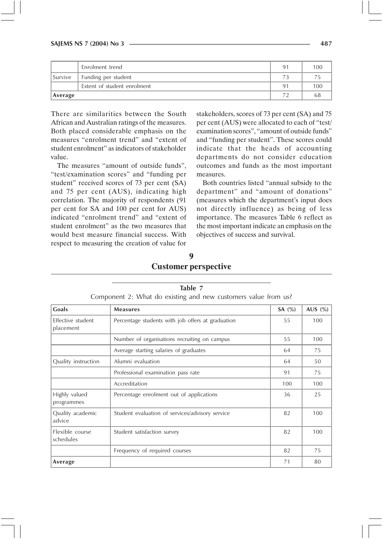|         | Enrolment trend             | 91             | 100 |
|---------|-----------------------------|----------------|-----|
| Survive | Funding per student         |                |     |
|         | Extent of student enrolment | Q <sub>1</sub> | 100 |
| Average |                             |                |     |

There are similarities between the South African and Australian ratings of the measures. Both placed considerable emphasis on the measures "enrolment trend" and "extent of student enrolment" as indicators of stakeholder value.

The measures "amount of outside funds", "test/examination scores" and "funding per student" received scores of 73 per cent (SA) and 75 per cent (AUS), indicating high correlation. The majority of respondents (91 per cent for SA and 100 per cent for AUS) indicated "enrolment trend" and "extent of student enrolment" as the two measures that would best measure financial success. With respect to measuring the creation of value for

stakeholders, scores of 73 per cent (SA) and 75 per cent (AUS) were allocated to each of "test/ examination scores", "amount of outside funds" and "funding per student". These scores could indicate that the heads of accounting departments do not consider education outcomes and funds as the most important measures.

Both countries listed "annual subsidy to the department" and "amount of donations" (measures which the department's input does not directly influence) as being of less importance. The measures Table 6 reflect as the most important indicate an emphasis on the objectives of success and survival.

9

# **Customer perspective**

| Component 2: What do existing and new customers value from us? |                                                   |           |            |  |  |  |
|----------------------------------------------------------------|---------------------------------------------------|-----------|------------|--|--|--|
| Goals                                                          | <b>Measures</b>                                   | SA $(\%)$ | AUS $(\%)$ |  |  |  |
| Effective student<br>placement                                 | Percentage students with job offers at graduation | 55        | 100        |  |  |  |
|                                                                | Number of organisations recruiting on campus      | 55        | 100        |  |  |  |
|                                                                | Average starting salaries of graduates            | 64        | 75         |  |  |  |
| Quality instruction                                            | Alumni evaluation                                 | 64        | 50         |  |  |  |
|                                                                | Professional examination pass rate                | 91        | 75         |  |  |  |
|                                                                | Accreditation                                     | 100       | 100        |  |  |  |
| Highly valued<br>programmes                                    | Percentage enrolment out of applications          | 36        | 25         |  |  |  |
| Quality academic<br>advice                                     | Student evaluation of services/advisory service   | 82        | 100        |  |  |  |
| Flexible course<br>schedules                                   | Student satisfaction survey                       | 82        | 100        |  |  |  |
|                                                                | Frequency of required courses                     | 82        | 75         |  |  |  |
| Average                                                        |                                                   | 71        | 80         |  |  |  |

Table 7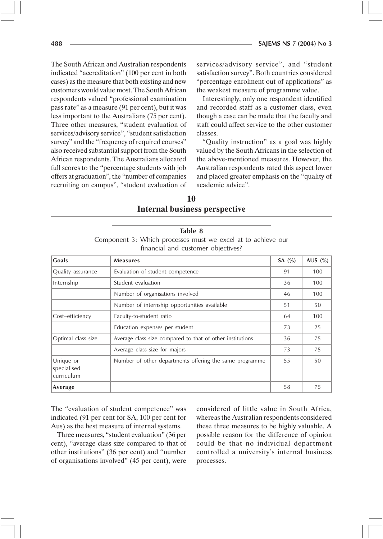The South African and Australian respondents indicated "accreditation" (100 per cent in both cases) as the measure that both existing and new customers would value most. The South African respondents valued "professional examination pass rate" as a measure (91 per cent), but it was less important to the Australians  $(75$  per cent). Three other measures, "student evaluation of services/advisory service", "student satisfaction survey" and the "frequency of required courses" also received substantial support from the South African respondents. The Australians allocated full scores to the "percentage students with job offers at graduation", the "number of companies recruiting on campus", "student evaluation of

services/advisory service", and "student satisfaction survey". Both countries considered "percentage enrolment out of applications" as the weakest measure of programme value.

Interestingly, only one respondent identified and recorded staff as a customer class, even though a case can be made that the faculty and staff could affect service to the other customer classes

"Quality instruction" as a goal was highly valued by the South Africans in the selection of the above-mentioned measures. However, the Australian respondents rated this aspect lower and placed greater emphasis on the "quality of academic advice"

10 **Internal business perspective** 

|                                                              | Table 8 |                                    |  |  |  |  |  |
|--------------------------------------------------------------|---------|------------------------------------|--|--|--|--|--|
| Component 3: Which processes must we excel at to achieve our |         |                                    |  |  |  |  |  |
|                                                              |         | financial and customer objectives? |  |  |  |  |  |

| Goals                                  | <b>Measures</b>                                           | SA $(\%)$ | AUS $(\% )$ |
|----------------------------------------|-----------------------------------------------------------|-----------|-------------|
| Quality assurance                      | Evaluation of student competence                          | 91        | 100         |
| Internship                             | Student evaluation                                        | 36        | 100         |
|                                        | Number of organisations involved                          | 46        | 100         |
|                                        | Number of internship opportunities available              | 51        | 50          |
| Cost-efficiency                        | Faculty-to-student ratio                                  | 64        | 100         |
|                                        | Education expenses per student                            | 73        | 25          |
| Optimal class size                     | Average class size compared to that of other institutions | 36        | 75          |
|                                        | Average class size for majors                             | 73        | 75          |
| Unique or<br>specialised<br>curriculum | Number of other departments offering the same programme   | 55        | 50          |
| Average                                |                                                           | 58        | 75          |

The "evaluation of student competence" was indicated (91 per cent for SA, 100 per cent for Aus) as the best measure of internal systems.

Three measures, "student evaluation" (36 per cent), "average class size compared to that of other institutions" (36 per cent) and "number of organisations involved" (45 per cent), were

considered of little value in South Africa. whereas the Australian respondents considered these three measures to be highly valuable. A possible reason for the difference of opinion could be that no individual department controlled a university's internal business processes.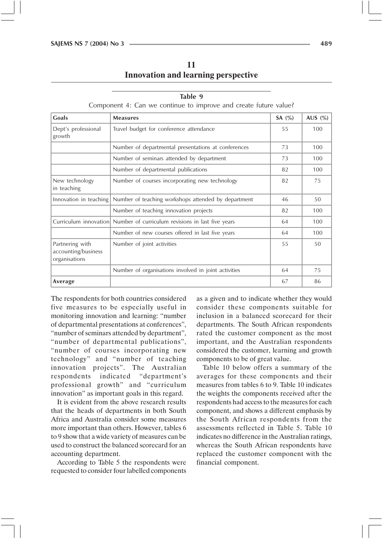11 **Innovation and learning perspective** 

Component 4: Can we continue to improve and create future value?

| Goals                                                   | <b>Measures</b>                                                         | SA $(\%)$ | AUS $(\% )$ |
|---------------------------------------------------------|-------------------------------------------------------------------------|-----------|-------------|
| Dept's professional<br>growth                           | Travel budget for conference attendance                                 | 55        | 100         |
|                                                         | Number of departmental presentations at conferences                     | 73        | 100         |
|                                                         | Number of seminars attended by department                               | 73        | 100         |
|                                                         | Number of departmental publications                                     | 82        | 100         |
| New technology<br>in teaching                           | Number of courses incorporating new technology                          | 82        | 75          |
| Innovation in teaching                                  | Number of teaching workshops attended by department                     | 46        | 50          |
|                                                         | Number of teaching innovation projects                                  | 82        | 100         |
|                                                         | Curriculum innovation Number of curriculum revisions in last five years | 64        | 100         |
|                                                         | Number of new courses offered in last five years                        | 64        | 100         |
| Partnering with<br>accounting/business<br>organisations | Number of joint activities                                              | 55        | 50          |
|                                                         | Number of organisations involved in joint activities                    | 64        | 75          |
| Average                                                 |                                                                         | 67        | 86          |

The respondents for both countries considered five measures to be especially useful in monitoring innovation and learning: "number of departmental presentations at conferences", "number of seminars attended by department", "number of departmental publications", "number of courses incorporating new technology" and "number of teaching innovation projects". The Australian respondents indicated "department's professional growth" and "curriculum innovation" as important goals in this regard.

It is evident from the above research results that the heads of departments in both South Africa and Australia consider some measures more important than others. However, tables 6 to 9 show that a wide variety of measures can be used to construct the balanced scorecard for an accounting department.

According to Table 5 the respondents were requested to consider four labelled components

as a given and to indicate whether they would consider these components suitable for inclusion in a balanced scorecard for their departments. The South African respondents rated the customer component as the most important, and the Australian respondents considered the customer, learning and growth components to be of great value.

Table 10 below offers a summary of the averages for these components and their measures from tables 6 to 9. Table 10 indicates the weights the components received after the respondents had access to the measures for each component, and shows a different emphasis by the South African respondents from the assessments reflected in Table 5. Table 10 indicates no difference in the Australian ratings, whereas the South African respondents have replaced the customer component with the financial component.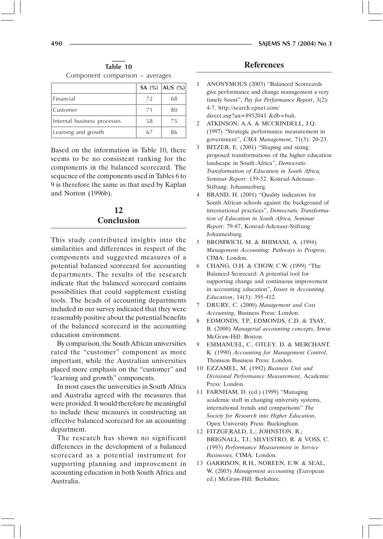Table 10 Component comparison – averages

|                             |    | <b>SA</b> $(\%)$   <b>AUS</b> $(\%)$ |  |
|-----------------------------|----|--------------------------------------|--|
| Financial                   | 72 | 68                                   |  |
| Customer                    | 71 | 80                                   |  |
| Internal business processes | 58 | 75                                   |  |
| Learning and growth         | 67 | 86                                   |  |

Based on the information in Table 10, there seems to be no consistent ranking for the components in the balanced scorecard. The sequence of the components used in Tables 6 to 9 is therefore the same as that used by Kaplan and Norton (1996b).

### 12 **Conclusion**

This study contributed insights into the similarities and differences in respect of the components and suggested measures of a potential balanced scorecard for accounting departments. The results of the research indicate that the balanced scorecard contains possibilities that could supplement existing tools. The heads of accounting departments included in our survey indicated that they were reasonably positive about the potential benefits of the balanced scorecard in the accounting education environment.

By comparison, the South African universities rated the "customer" component as more important, while the Australian universities placed more emphasis on the "customer" and "learning and growth" components.

In most cases the universities in South Africa and Australia agreed with the measures that were provided. It would therefore be meaningful to include these measures in constructing an effective balanced scorecard for an accounting department.

The research has shown no significant differences in the development of a balanced scorecard as a potential instrument for supporting planning and improvement in accounting education in both South Africa and Australia

#### **References**

- ANONYMOUS (2003) "Balanced Scorecards 1 give performance and change management a very timely boost", Pay for Performance Report, 3(2): 4-7. http://search.epnet.com/ direct.asp?an=8952041 &db=buh.
- ATKINSON, A.A. & MCCRINDELL, J.O.  $\mathfrak{D}$ (1997) "Strategic performance measurement in government", CMA Management, 71(3): 20-23.
- BITZER, E. (2001) "Shaping and sizing: 3 proposed transformations of the higher education landscape in South Africa", Democratic Transformation of Education in South Africa, Seminar Report: 139-52. Konrad-Adenaur-Stiftung: Johannesburg.
- $\overline{4}$ BRAND, H. (2001) "Quality indicators for South African schools against the background of international practices", Democratic Transformation of Education in South Africa, Seminar Report: 79-87, Konrad-Adenaur-Stiftung: Johannesburg.
- 5 BROMWICH, M. & BHIMANI, A. (1994) Management Accounting: Pathways to Progress, CIMA: London.
- CHANG, O.H. & CHOW, C.W. (1999) "The 6 Balanced Scorecard: A potential tool for supporting change and continuous improvement in accounting education", Issues in Accounting Education, 14(3): 395-412.
- $\tau$ DRURY, C. (2000) Management and Cost Accounting, Business Press: London.
- 8 EDMONDS, T.P., EDMONDS, C.D. & TSAY, B. (2000) Managerial accounting concepts, Irwin McGraw-Hill: Boston.
- $\mathbf{Q}$ EMMANUEL, C., OTLEY. D. & MERCHANT. K. (1990) Accounting for Management Control, Thomson Business Press: London.
- 10 EZZAMEL, M. (1992) Business Unit and Divisional Performance Measurement, Academic Press: London.
- 11 FARNHAM, D. (ed.) (1999) "Managing academic staff in changing university systems, international trends and comparisons" The Society for Research into Higher Education, Open University Press: Buckingham.
- 12 FITZGERALD, L.; JOHNSTON, R.; BRIGNALL, T.J.; SILVESTRO, R. & VOSS, C. (1993) Performance Measurement in Service Businesses, CIMA: London.
- 13 GARRISON, R.H., NOREEN, E.W. & SEAL, W. (2003) Management accounting (European ed.) McGraw-Hill: Berkshire.